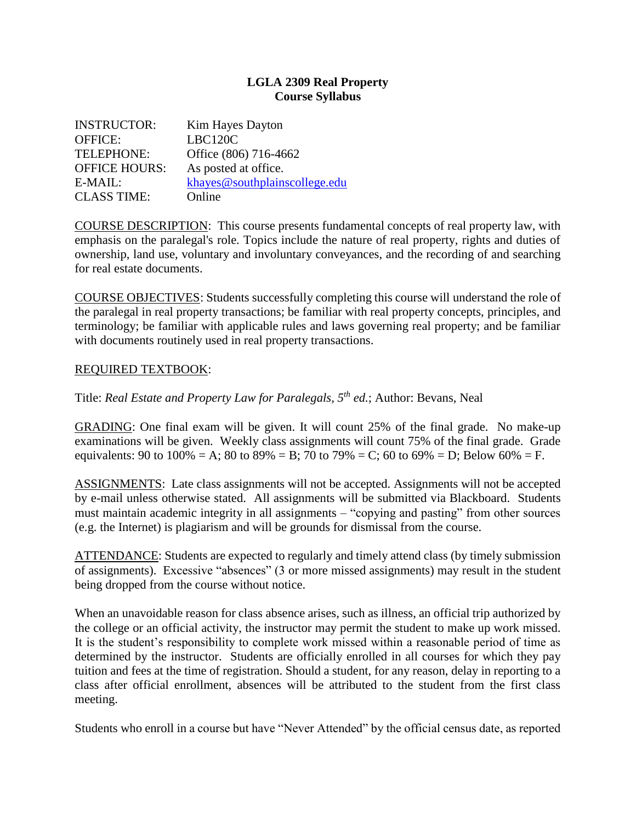## **LGLA 2309 Real Property Course Syllabus**

| <b>INSTRUCTOR:</b>   | Kim Hayes Dayton              |
|----------------------|-------------------------------|
| <b>OFFICE:</b>       | LBC120C                       |
| <b>TELEPHONE:</b>    | Office (806) 716-4662         |
| <b>OFFICE HOURS:</b> | As posted at office.          |
| E-MAIL:              | khayes@southplainscollege.edu |
| <b>CLASS TIME:</b>   | Online                        |

COURSE DESCRIPTION: This course presents fundamental concepts of real property law, with emphasis on the paralegal's role. Topics include the nature of real property, rights and duties of ownership, land use, voluntary and involuntary conveyances, and the recording of and searching for real estate documents.

COURSE OBJECTIVES: Students successfully completing this course will understand the role of the paralegal in real property transactions; be familiar with real property concepts, principles, and terminology; be familiar with applicable rules and laws governing real property; and be familiar with documents routinely used in real property transactions.

## REQUIRED TEXTBOOK:

Title: *Real Estate and Property Law for Paralegals, 5th ed.*; Author: Bevans, Neal

GRADING: One final exam will be given. It will count 25% of the final grade. No make-up examinations will be given. Weekly class assignments will count 75% of the final grade. Grade equivalents: 90 to 100% = A; 80 to 89% = B; 70 to 79% = C; 60 to 69% = D; Below 60% = F.

ASSIGNMENTS: Late class assignments will not be accepted. Assignments will not be accepted by e-mail unless otherwise stated. All assignments will be submitted via Blackboard. Students must maintain academic integrity in all assignments – "copying and pasting" from other sources (e.g. the Internet) is plagiarism and will be grounds for dismissal from the course.

ATTENDANCE: Students are expected to regularly and timely attend class (by timely submission of assignments). Excessive "absences" (3 or more missed assignments) may result in the student being dropped from the course without notice.

When an unavoidable reason for class absence arises, such as illness, an official trip authorized by the college or an official activity, the instructor may permit the student to make up work missed. It is the student's responsibility to complete work missed within a reasonable period of time as determined by the instructor. Students are officially enrolled in all courses for which they pay tuition and fees at the time of registration. Should a student, for any reason, delay in reporting to a class after official enrollment, absences will be attributed to the student from the first class meeting.

Students who enroll in a course but have "Never Attended" by the official census date, as reported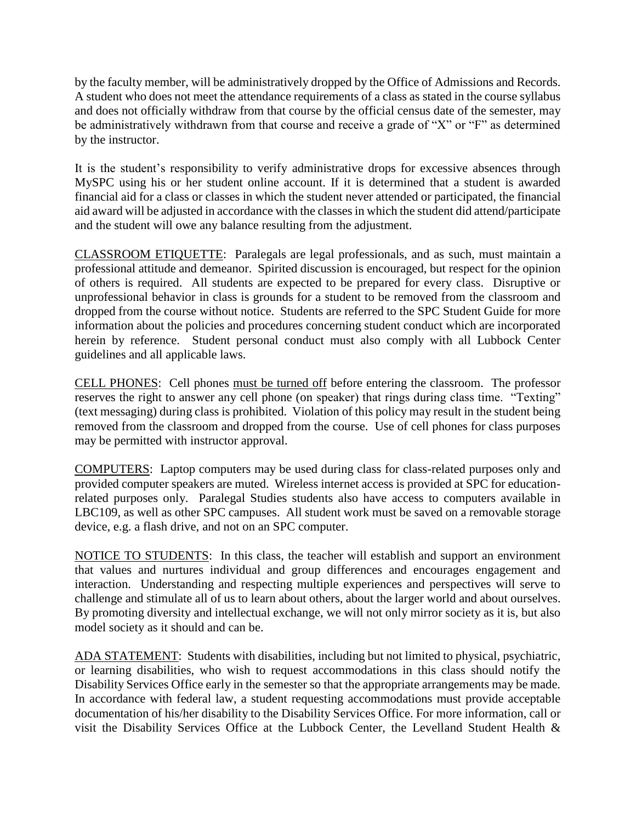by the faculty member, will be administratively dropped by the Office of Admissions and Records. A student who does not meet the attendance requirements of a class as stated in the course syllabus and does not officially withdraw from that course by the official census date of the semester, may be administratively withdrawn from that course and receive a grade of "X" or "F" as determined by the instructor.

It is the student's responsibility to verify administrative drops for excessive absences through MySPC using his or her student online account. If it is determined that a student is awarded financial aid for a class or classes in which the student never attended or participated, the financial aid award will be adjusted in accordance with the classes in which the student did attend/participate and the student will owe any balance resulting from the adjustment.

CLASSROOM ETIQUETTE: Paralegals are legal professionals, and as such, must maintain a professional attitude and demeanor. Spirited discussion is encouraged, but respect for the opinion of others is required. All students are expected to be prepared for every class. Disruptive or unprofessional behavior in class is grounds for a student to be removed from the classroom and dropped from the course without notice. Students are referred to the SPC Student Guide for more information about the policies and procedures concerning student conduct which are incorporated herein by reference. Student personal conduct must also comply with all Lubbock Center guidelines and all applicable laws.

CELL PHONES: Cell phones must be turned off before entering the classroom. The professor reserves the right to answer any cell phone (on speaker) that rings during class time. "Texting" (text messaging) during class is prohibited. Violation of this policy may result in the student being removed from the classroom and dropped from the course. Use of cell phones for class purposes may be permitted with instructor approval.

COMPUTERS: Laptop computers may be used during class for class-related purposes only and provided computer speakers are muted. Wireless internet access is provided at SPC for educationrelated purposes only. Paralegal Studies students also have access to computers available in LBC109, as well as other SPC campuses. All student work must be saved on a removable storage device, e.g. a flash drive, and not on an SPC computer.

NOTICE TO STUDENTS: In this class, the teacher will establish and support an environment that values and nurtures individual and group differences and encourages engagement and interaction. Understanding and respecting multiple experiences and perspectives will serve to challenge and stimulate all of us to learn about others, about the larger world and about ourselves. By promoting diversity and intellectual exchange, we will not only mirror society as it is, but also model society as it should and can be.

ADA STATEMENT: Students with disabilities, including but not limited to physical, psychiatric, or learning disabilities, who wish to request accommodations in this class should notify the Disability Services Office early in the semester so that the appropriate arrangements may be made. In accordance with federal law, a student requesting accommodations must provide acceptable documentation of his/her disability to the Disability Services Office. For more information, call or visit the Disability Services Office at the Lubbock Center, the Levelland Student Health &